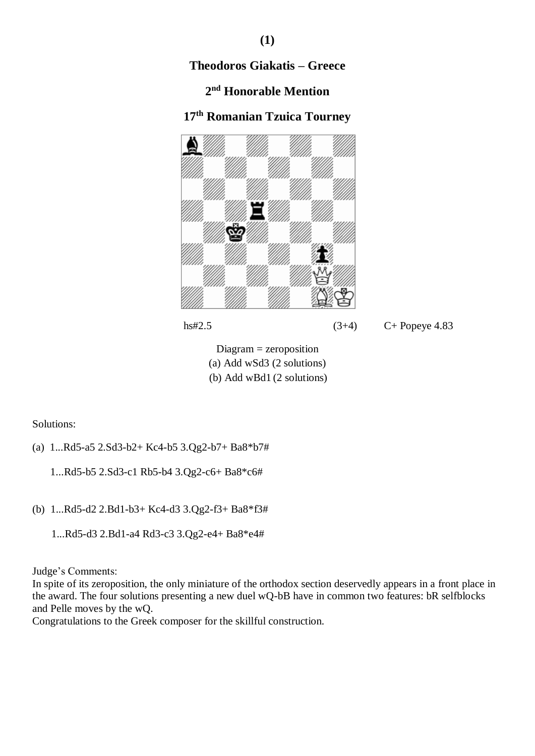# **2 nd Honorable Mention**

# **17th Romanian Tzuica Tourney**





hs#2.5 (3+4) C+ Popeye 4.83

Diagram = zeroposition (a) Add wSd3 (2 solutions) <sup>i</sup>(b) Add wBd1 (2 solutions)

Solutions:

(a) 1...Rd5-a5 2.Sd3-b2+ Kc4-b5 3.Qg2-b7+ Ba8\*b7#

1...Rd5-b5 2.Sd3-c1 Rb5-b4 3.Qg2-c6+ Ba8\*c6#

(b) 1...Rd5-d2 2.Bd1-b3+ Kc4-d3 3.Qg2-f3+ Ba8\*f3#

1...Rd5-d3 2.Bd1-a4 Rd3-c3 3.Qg2-e4+ Ba8\*e4#

Judge's Comments:

In spite of its zeroposition, the only miniature of the orthodox section deservedly appears in a front place in the award. The four solutions presenting a new duel wQ-bB have in common two features: bR selfblocks and Pelle moves by the wQ.

Congratulations to the Greek composer for the skillful construction.

### **(1)**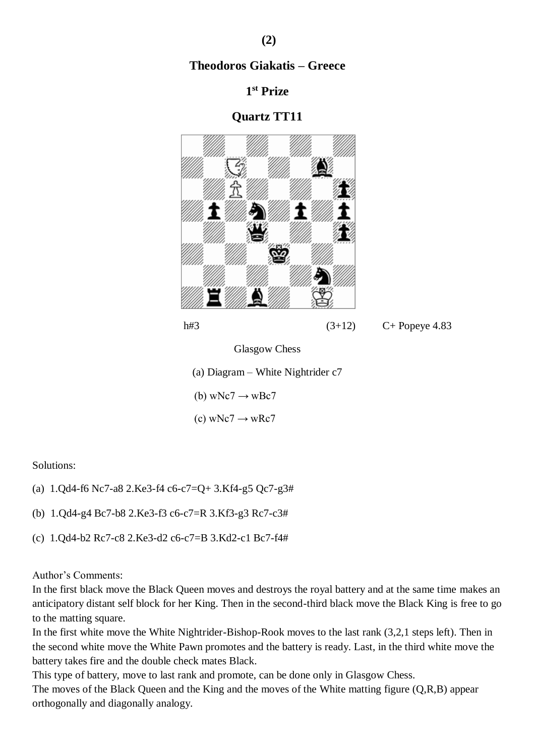### **1 st Prize**

### **Quartz TT11**



Glasgow Chess

(a) Diagram – White Nightrider c7

(b) wNc7  $\rightarrow$  wBc7

 $(c)$  wNc7  $\rightarrow$  wRc7

Solutions:

- (a) 1.Qd4-f6 Nc7-a8 2.Ke3-f4 c6-c7=Q+ 3.Kf4-g5 Qc7-g3#
- (b) 1.Qd4-g4 Bc7-b8 2.Ke3-f3 c6-c7=R 3.Kf3-g3 Rc7-c3#
- (c) 1.Qd4-b2 Rc7-c8 2.Ke3-d2 c6-c7=B 3.Kd2-c1 Bc7-f4#

#### Author's Comments:

In the first black move the Black Queen moves and destroys the royal battery and at the same time makes an anticipatory distant self block for her King. Then in the second-third black move the Black King is free to go to the matting square.

In the first white move the White Nightrider-Bishop-Rook moves to the last rank (3,2,1 steps left). Then in the second white move the White Pawn promotes and the battery is ready. Last, in the third white move the battery takes fire and the double check mates Black.

This type of battery, move to last rank and promote, can be done only in Glasgow Chess. The moves of the Black Queen and the King and the moves of the White matting figure (Q,R,B) appear orthogonally and diagonally analogy.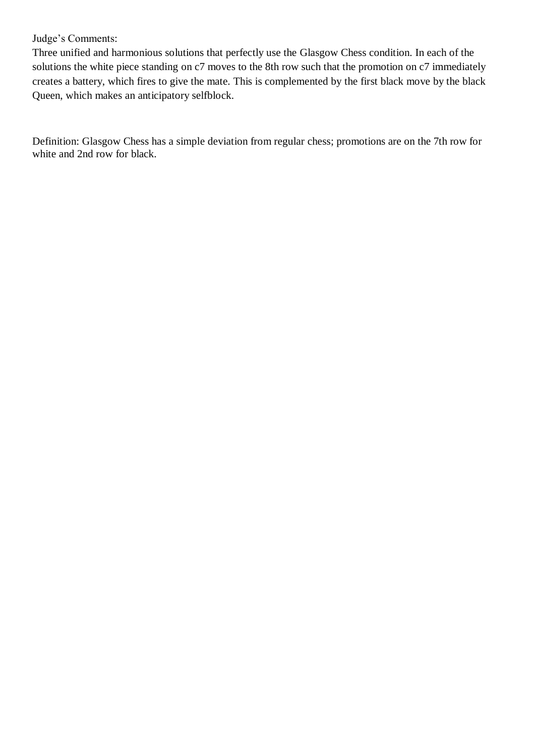### Judge's Comments:

Three unified and harmonious solutions that perfectly use the Glasgow Chess condition. In each of the solutions the white piece standing on c7 moves to the 8th row such that the promotion on c7 immediately creates a battery, which fires to give the mate. This is complemented by the first black move by the black Queen, which makes an anticipatory selfblock.

Definition: Glasgow Chess has a simple deviation from regular chess; promotions are on the 7th row for white and 2nd row for black.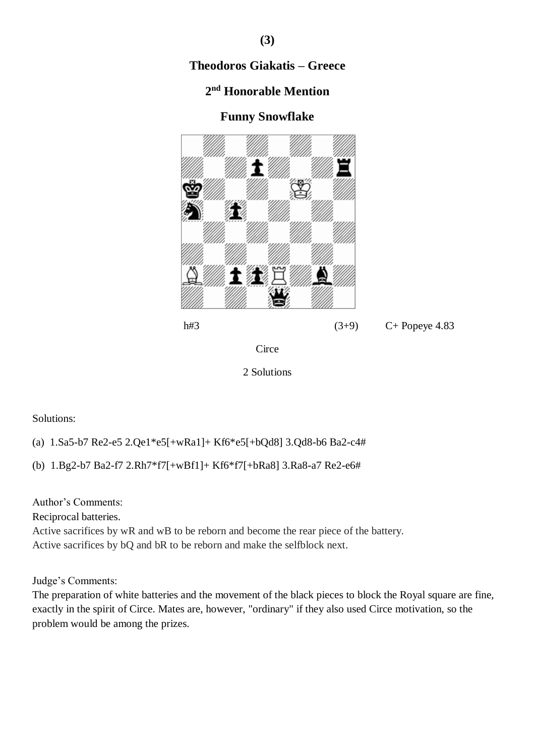# **2 nd Honorable Mention**

## **Funny Snowflake**



```
h#3 (3+9) C+ Popeye 4.83
```


2 Solutions

### Solutions:

(a) 1.Sa5-b7 Re2-e5 2.Qe1\*e5[+wRa1]+ Kf6\*e5[+bQd8] 3.Qd8-b6 Ba2-c4#

(b) 1.Bg2-b7 Ba2-f7 2.Rh7\*f7[+wBf1]+ Kf6\*f7[+bRa8] 3.Ra8-a7 Re2-e6#

Author's Comments:

Reciprocal batteries.

Active sacrifices by wR and wB to be reborn and become the rear piece of the battery. Active sacrifices by bQ and bR to be reborn and make the selfblock next.

Judge's Comments:

The preparation of white batteries and the movement of the black pieces to block the Royal square are fine, exactly in the spirit of Circe. Mates are, however, "ordinary" if they also used Circe motivation, so the problem would be among the prizes.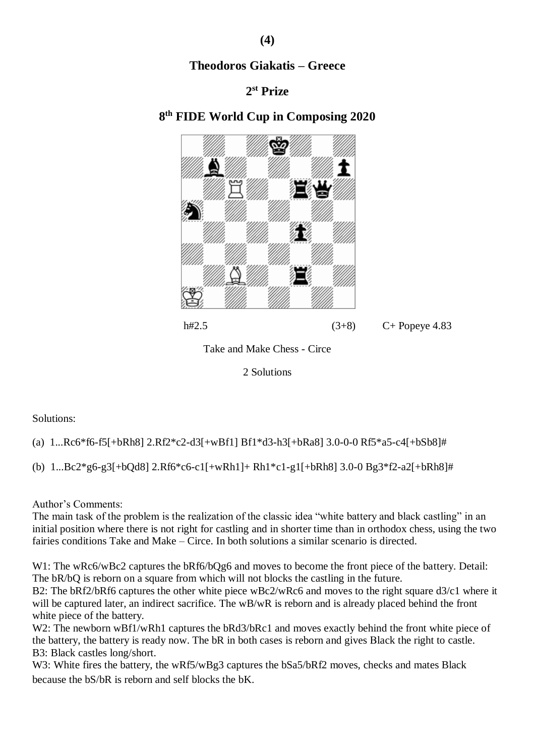## **2 st Prize**

# **8 th FIDE World Cup in Composing 2020**





Take and Make Chess - Circe

2 Solutions

Solutions:

(a) 1...Rc6\*f6-f5[+bRh8] 2.Rf2\*c2-d3[+wBf1] Bf1\*d3-h3[+bRa8] 3.0-0-0 Rf5\*a5-c4[+bSb8]#

(b) 1...Bc2\*g6-g3[+bQd8] 2.Rf6\*c6-c1[+wRh1]+ Rh1\*c1-g1[+bRh8] 3.0-0 Bg3\*f2-a2[+bRh8]#

Author's Comments:

The main task of the problem is the realization of the classic idea "white battery and black castling" in an initial position where there is not right for castling and in shorter time than in orthodox chess, using the two fairies conditions Take and Make – Circe. In both solutions a similar scenario is directed.

W1: The wRc6/wBc2 captures the  $bRf6/bQg6$  and moves to become the front piece of the battery. Detail: The bR/bQ is reborn on a square from which will not blocks the castling in the future.

B2: The bRf2/bRf6 captures the other white piece wBc2/wRc6 and moves to the right square d3/c1 where it will be captured later, an indirect sacrifice. The wB/wR is reborn and is already placed behind the front white piece of the battery.

W2: The newborn wBf1/wRh1 captures the bRd3/bRc1 and moves exactly behind the front white piece of the battery, the battery is ready now. The bR in both cases is reborn and gives Βlack the right to castle. B3: Black castles long/short.

W3: White fires the battery, the wRf5/wBg3 captures the bSa5/bRf2 moves, checks and mates Black because the bS/bR is reborn and self blocks the bK.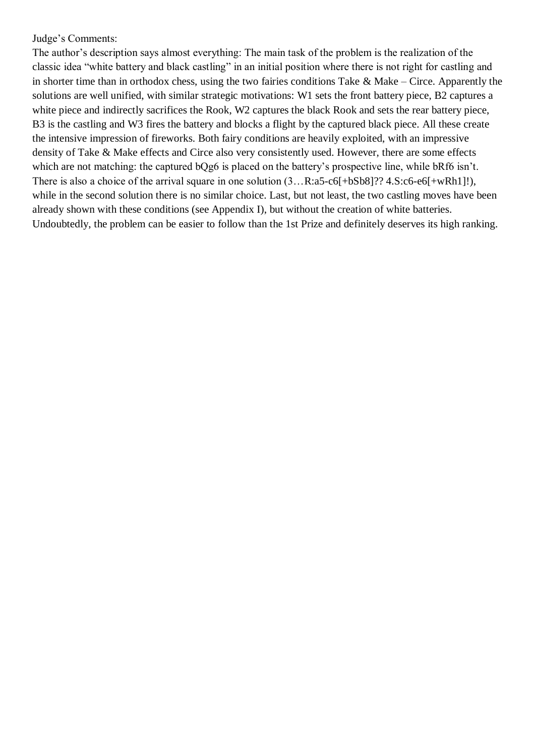#### Judge's Comments:

The author's description says almost everything: The main task of the problem is the realization of the classic idea "white battery and black castling" in an initial position where there is not right for castling and in shorter time than in orthodox chess, using the two fairies conditions Take  $\&$  Make – Circe. Apparently the solutions are well unified, with similar strategic motivations: W1 sets the front battery piece, B2 captures a white piece and indirectly sacrifices the Rook, W2 captures the black Rook and sets the rear battery piece, B3 is the castling and W3 fires the battery and blocks a flight by the captured black piece. All these create the intensive impression of fireworks. Both fairy conditions are heavily exploited, with an impressive density of Take & Make effects and Circe also very consistently used. However, there are some effects which are not matching: the captured bQg6 is placed on the battery's prospective line, while bRf6 isn't. There is also a choice of the arrival square in one solution  $(3...R:a5-c6[+bSb8]$ ?? 4.S:c6-e6[+wRh1]!), while in the second solution there is no similar choice. Last, but not least, the two castling moves have been already shown with these conditions (see Appendix I), but without the creation of white batteries. Undoubtedly, the problem can be easier to follow than the 1st Prize and definitely deserves its high ranking.